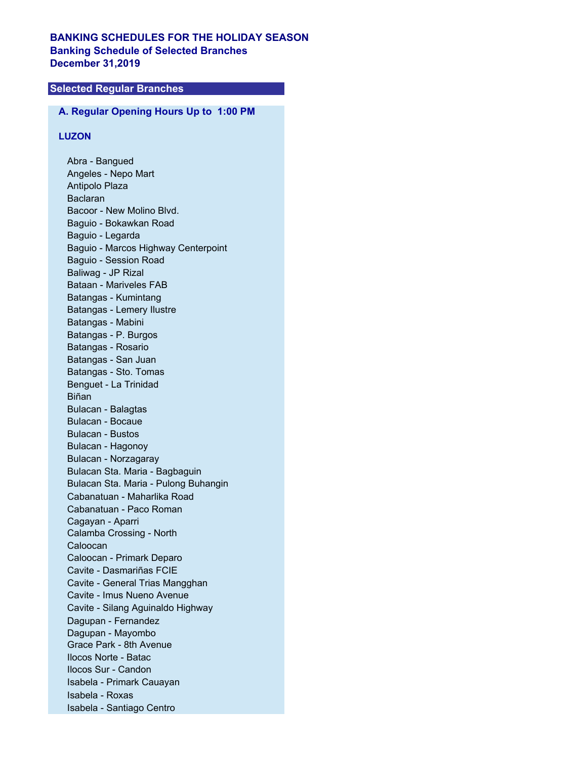# **BANKING SCHEDULES FOR THE HOLIDAY SEASON Banking Schedule of Selected Branches December 31,2019**

# **Selected Regular Branches**

#### **A. Regular Opening Hours Up to 1:00 PM**

## **LUZON**

Abra - Bangued Angeles - Nepo Mart Antipolo Plaza Baclaran Bacoor - New Molino Blvd. Baguio - Bokawkan Road Baguio - Legarda Baguio - Marcos Highway Centerpoint Baguio - Session Road Baliwag - JP Rizal Bataan - Mariveles FAB Batangas - Kumintang Batangas - Lemery Ilustre Batangas - Mabini Batangas - P. Burgos Batangas - Rosario Batangas - San Juan Batangas - Sto. Tomas Benguet - La Trinidad Biñan Bulacan - Balagtas Bulacan - Bocaue Bulacan - Bustos Bulacan - Hagonoy Bulacan - Norzagaray Bulacan Sta. Maria - Bagbaguin Bulacan Sta. Maria - Pulong Buhangin Cabanatuan - Maharlika Road Cabanatuan - Paco Roman Cagayan - Aparri Calamba Crossing - North Caloocan Caloocan - Primark Deparo Cavite - Dasmariñas FCIE Cavite - General Trias Mangghan Cavite - Imus Nueno Avenue Cavite - Silang Aguinaldo Highway Dagupan - Fernandez Dagupan - Mayombo Grace Park - 8th Avenue Ilocos Norte - Batac Ilocos Sur - Candon Isabela - Primark Cauayan Isabela - Roxas Isabela - Santiago Centro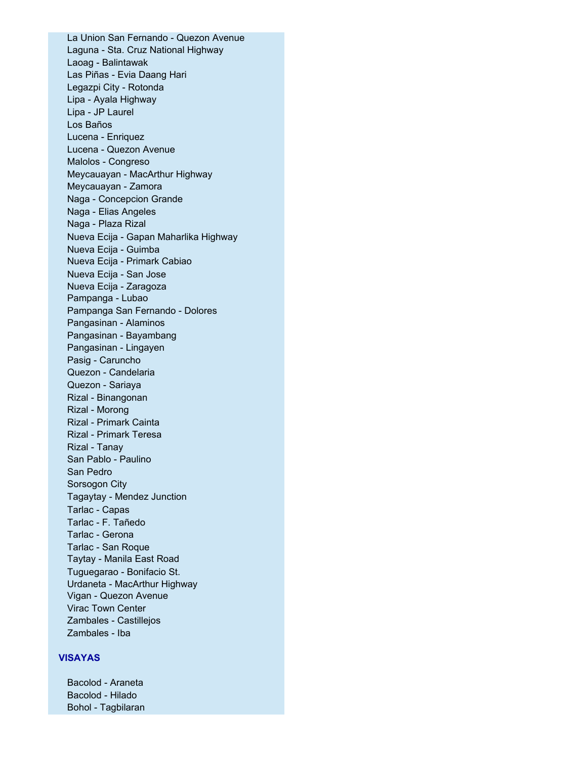La Union San Fernando - Quezon Avenue Laguna - Sta. Cruz National Highway Laoag - Balintawak Las Piñas - Evia Daang Hari Legazpi City - Rotonda Lipa - Ayala Highway Lipa - JP Laurel Los Baños Lucena - Enriquez Lucena - Quezon Avenue Malolos - Congreso Meycauayan - MacArthur Highway Meycauayan - Zamora Naga - Concepcion Grande Naga - Elias Angeles Naga - Plaza Rizal Nueva Ecija - Gapan Maharlika Highway Nueva Ecija - Guimba Nueva Ecija - Primark Cabiao Nueva Ecija - San Jose Nueva Ecija - Zaragoza Pampanga - Lubao Pampanga San Fernando - Dolores Pangasinan - Alaminos Pangasinan - Bayambang Pangasinan - Lingayen Pasig - Caruncho Quezon - Candelaria Quezon - Sariaya Rizal - Binangonan Rizal - Morong Rizal - Primark Cainta Rizal - Primark Teresa Rizal - Tanay San Pablo - Paulino San Pedro Sorsogon City Tagaytay - Mendez Junction Tarlac - Capas Tarlac - F. Tañedo Tarlac - Gerona Tarlac - San Roque Taytay - Manila East Road Tuguegarao - Bonifacio St. Urdaneta - MacArthur Highway Vigan - Quezon Avenue Virac Town Center Zambales - Castillejos Zambales - Iba

### **VISAYAS**

Bacolod - Araneta Bacolod - Hilado Bohol - Tagbilaran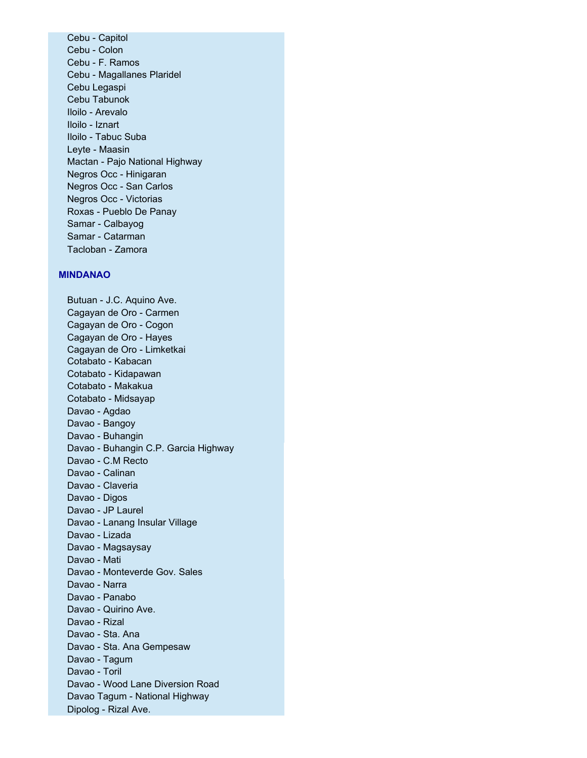Cebu - Capitol Cebu - Colon Cebu - F. Ramos Cebu - Magallanes Plaridel Cebu Legaspi Cebu Tabunok Iloilo - Arevalo Iloilo - Iznart Iloilo - Tabuc Suba Leyte - Maasin Mactan - Pajo National Highway Negros Occ - Hinigaran Negros Occ - San Carlos Negros Occ - Victorias Roxas - Pueblo De Panay Samar - Calbayog Samar - Catarman Tacloban - Zamora

#### **MINDANAO**

Butuan - J.C. Aquino Ave. Cagayan de Oro - Carmen Cagayan de Oro - Cogon Cagayan de Oro - Hayes Cagayan de Oro - Limketkai Cotabato - Kabacan Cotabato - Kidapawan Cotabato - Makakua Cotabato - Midsayap Davao - Agdao Davao - Bangoy Davao - Buhangin Davao - Buhangin C.P. Garcia Highway Davao - C.M Recto Davao - Calinan Davao - Claveria Davao - Digos Davao - JP Laurel Davao - Lanang Insular Village Davao - Lizada Davao - Magsaysay Davao - Mati Davao - Monteverde Gov. Sales Davao - Narra Davao - Panabo Davao - Quirino Ave. Davao - Rizal Davao - Sta. Ana Davao - Sta. Ana Gempesaw Davao - Tagum Davao - Toril Davao - Wood Lane Diversion Road Davao Tagum - National Highway Dipolog - Rizal Ave.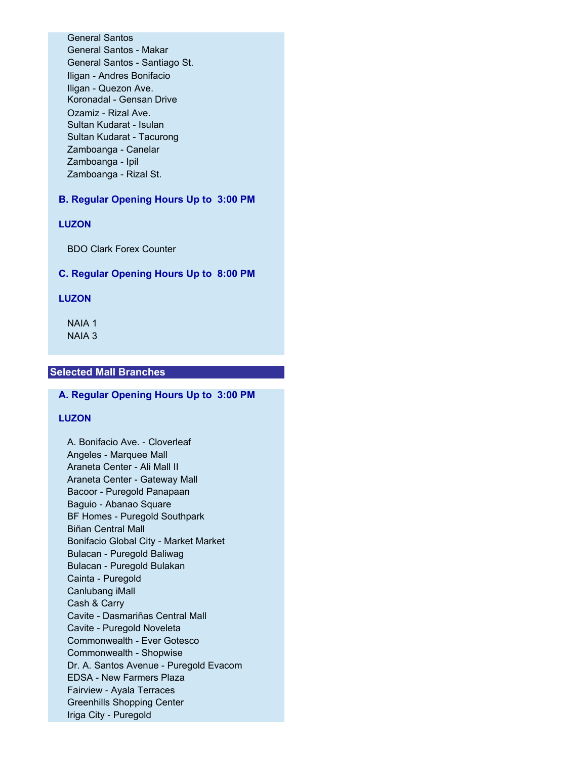General Santos General Santos - Makar General Santos - Santiago St. Iligan - Andres Bonifacio Iligan - Quezon Ave. Koronadal - Gensan Drive Ozamiz - Rizal Ave. Sultan Kudarat - Isulan Sultan Kudarat - Tacurong Zamboanga - Canelar Zamboanga - Ipil Zamboanga - Rizal St.

## **B. Regular Opening Hours Up to 3:00 PM**

### **LUZON**

BDO Clark Forex Counter

#### **C. Regular Opening Hours Up to 8:00 PM**

#### **LUZON**

NAIA 1 NAIA 3

#### **Selected Mall Branches**

## **A. Regular Opening Hours Up to 3:00 PM**

### **LUZON**

A. Bonifacio Ave. - Cloverleaf Angeles - Marquee Mall Araneta Center - Ali Mall II Araneta Center - Gateway Mall Bacoor - Puregold Panapaan Baguio - Abanao Square BF Homes - Puregold Southpark Biñan Central Mall Bonifacio Global City - Market Market Bulacan - Puregold Baliwag Bulacan - Puregold Bulakan Cainta - Puregold Canlubang iMall Cash & Carry Cavite - Dasmariñas Central Mall Cavite - Puregold Noveleta Commonwealth - Ever Gotesco Commonwealth - Shopwise Dr. A. Santos Avenue - Puregold Evacom EDSA - New Farmers Plaza Fairview - Ayala Terraces Greenhills Shopping Center Iriga City - Puregold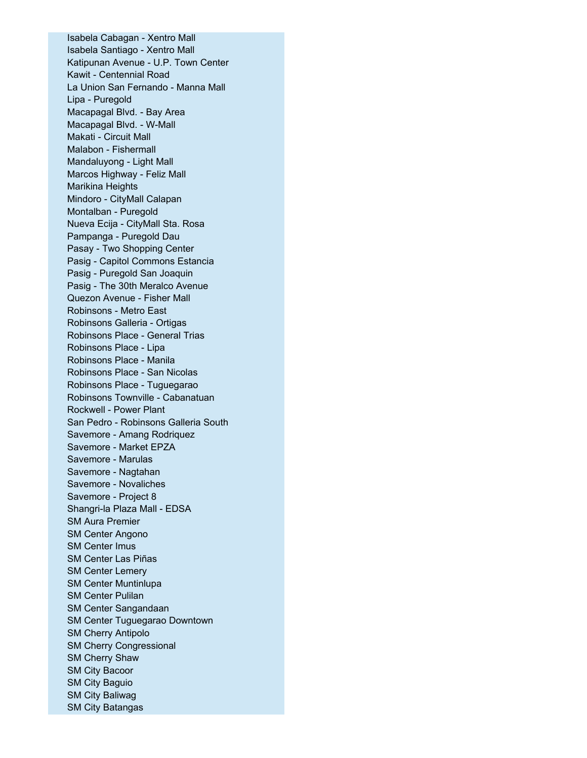Isabela Cabagan - Xentro Mall Isabela Santiago - Xentro Mall Katipunan Avenue - U.P. Town Center Kawit - Centennial Road La Union San Fernando - Manna Mall Lipa - Puregold Macapagal Blvd. - Bay Area Macapagal Blvd. - W-Mall Makati - Circuit Mall Malabon - Fishermall Mandaluyong - Light Mall Marcos Highway - Feliz Mall Marikina Heights Mindoro - CityMall Calapan Montalban - Puregold Nueva Ecija - CityMall Sta. Rosa Pampanga - Puregold Dau Pasay - Two Shopping Center Pasig - Capitol Commons Estancia Pasig - Puregold San Joaquin Pasig - The 30th Meralco Avenue Quezon Avenue - Fisher Mall Robinsons - Metro East Robinsons Galleria - Ortigas Robinsons Place - General Trias Robinsons Place - Lipa Robinsons Place - Manila Robinsons Place - San Nicolas Robinsons Place - Tuguegarao Robinsons Townville - Cabanatuan Rockwell - Power Plant San Pedro - Robinsons Galleria South Savemore - Amang Rodriquez Savemore - Market EPZA Savemore - Marulas Savemore - Nagtahan Savemore - Novaliches Savemore - Project 8 Shangri-la Plaza Mall - EDSA SM Aura Premier SM Center Angono SM Center Imus SM Center Las Piñas SM Center Lemery SM Center Muntinlupa SM Center Pulilan SM Center Sangandaan SM Center Tuguegarao Downtown SM Cherry Antipolo SM Cherry Congressional SM Cherry Shaw SM City Bacoor SM City Baguio SM City Baliwag SM City Batangas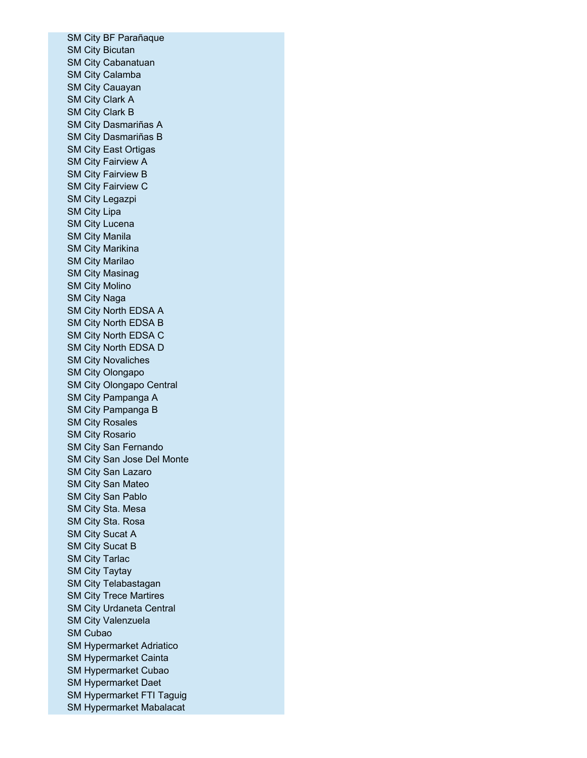SM City BF Parañaque SM City Bicutan SM City Cabanatuan SM City Calamba SM City Cauayan SM City Clark A SM City Clark B SM City Dasmariñas A SM City Dasmariñas B SM City East Ortigas SM City Fairview A SM City Fairview B SM City Fairview C SM City Legazpi SM City Lipa SM City Lucena SM City Manila SM City Marikina SM City Marilao SM City Masinag SM City Molino SM City Naga SM City North EDSA A SM City North EDSA B SM City North EDSA C SM City North EDSA D SM City Novaliches SM City Olongapo SM City Olongapo Central SM City Pampanga A SM City Pampanga B SM City Rosales SM City Rosario SM City San Fernando SM City San Jose Del Monte SM City San Lazaro SM City San Mateo SM City San Pablo SM City Sta. Mesa SM City Sta. Rosa SM City Sucat A SM City Sucat B SM City Tarlac SM City Taytay SM City Telabastagan SM City Trece Martires SM City Urdaneta Central SM City Valenzuela SM Cubao SM Hypermarket Adriatico SM Hypermarket Cainta SM Hypermarket Cubao SM Hypermarket Daet SM Hypermarket FTI Taguig SM Hypermarket Mabalacat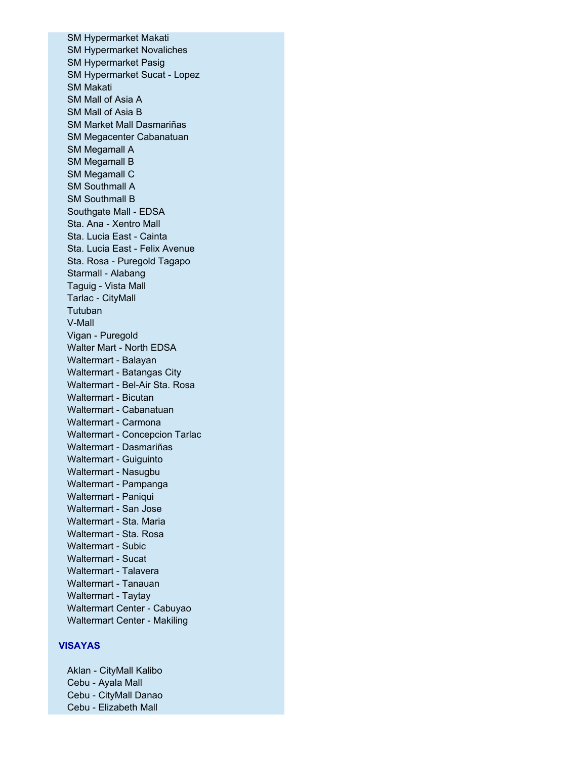SM Hypermarket Makati SM Hypermarket Novaliches SM Hypermarket Pasig SM Hypermarket Sucat - Lopez SM Makati SM Mall of Asia A SM Mall of Asia B SM Market Mall Dasmariñas SM Megacenter Cabanatuan SM Megamall A SM Megamall B SM Megamall C SM Southmall A SM Southmall B Southgate Mall - EDSA Sta. Ana - Xentro Mall Sta. Lucia East - Cainta Sta. Lucia East - Felix Avenue Sta. Rosa - Puregold Tagapo Starmall - Alabang Taguig - Vista Mall Tarlac - CityMall Tutuban V-Mall Vigan - Puregold Walter Mart - North EDSA Waltermart - Balayan Waltermart - Batangas City Waltermart - Bel-Air Sta. Rosa Waltermart - Bicutan Waltermart - Cabanatuan Waltermart - Carmona Waltermart - Concepcion Tarlac Waltermart - Dasmariñas Waltermart - Guiguinto Waltermart - Nasugbu Waltermart - Pampanga Waltermart - Paniqui Waltermart - San Jose Waltermart - Sta. Maria Waltermart - Sta. Rosa Waltermart - Subic Waltermart - Sucat Waltermart - Talavera Waltermart - Tanauan Waltermart - Taytay Waltermart Center - Cabuyao Waltermart Center - Makiling

## **VISAYAS**

Aklan - CityMall Kalibo Cebu - Ayala Mall Cebu - CityMall Danao Cebu - Elizabeth Mall